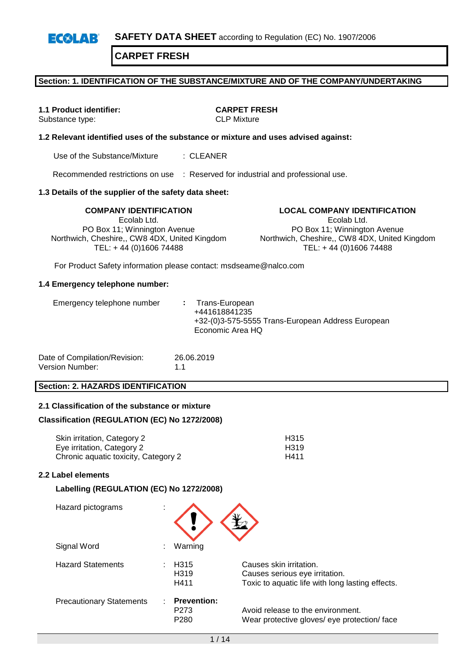**SAFETY DATA SHEET** according to Regulation (EC) No. 1907/2006  $E(X|A)$ 

**CARPET FRESH**

### **Section: 1. IDENTIFICATION OF THE SUBSTANCE/MIXTURE AND OF THE COMPANY/UNDERTAKING**

Substance type:

**1.1 Product identifier: CARPET FRESH**

### **1.2 Relevant identified uses of the substance or mixture and uses advised against:**

Use of the Substance/Mixture : CLEANER

Recommended restrictions on use : Reserved for industrial and professional use.

### **1.3 Details of the supplier of the safety data sheet:**

Ecolab Ltd. PO Box 11; Winnington Avenue Northwich, Cheshire,, CW8 4DX, United Kingdom TEL: + 44 (0)1606 74488

**COMPANY IDENTIFICATION LOCAL COMPANY IDENTIFICATION** Ecolab Ltd. PO Box 11; Winnington Avenue Northwich, Cheshire,, CW8 4DX, United Kingdom TEL: + 44 (0)1606 74488

For Product Safety information please contact: msdseame@nalco.com

#### **1.4 Emergency telephone number:**

| Date of Compilation/Revision: | 26.06.2019 |
|-------------------------------|------------|
| Version Number:               | 1.1        |

### **Section: 2. HAZARDS IDENTIFICATION**

### **2.1 Classification of the substance or mixture**

### **Classification (REGULATION (EC) No 1272/2008)**

| Skin irritation, Category 2          | H <sub>315</sub> |
|--------------------------------------|------------------|
| Eye irritation, Category 2           | H <sub>319</sub> |
| Chronic aguatic toxicity, Category 2 | H411             |

### **2.2 Label elements**

### **Labelling (REGULATION (EC) No 1272/2008)**

| Hazard pictograms               |                                                |                                                                                                               |
|---------------------------------|------------------------------------------------|---------------------------------------------------------------------------------------------------------------|
| Signal Word                     | Warning                                        |                                                                                                               |
| <b>Hazard Statements</b>        | H315<br>H <sub>3</sub> 19<br>H411              | Causes skin irritation.<br>Causes serious eye irritation.<br>Toxic to aquatic life with long lasting effects. |
| <b>Precautionary Statements</b> | <b>Prevention:</b><br>P273<br>P <sub>280</sub> | Avoid release to the environment.<br>Wear protective gloves/ eye protection/ face                             |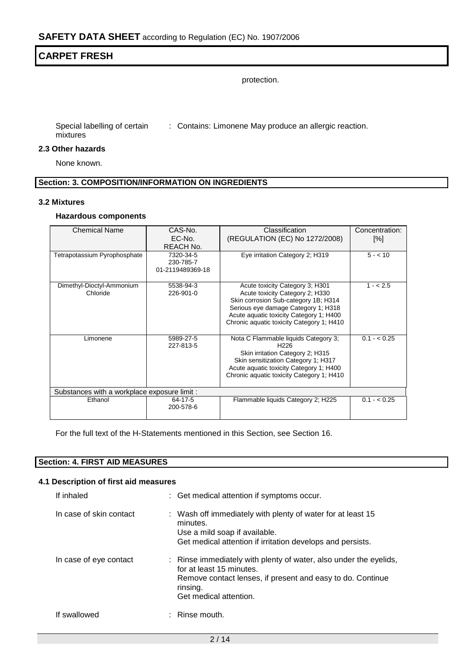protection.

Special labelling of certain : Contains: Limonene May produce an allergic reaction. mixtures

### **2.3 Other hazards**

None known.

### **Section: 3. COMPOSITION/INFORMATION ON INGREDIENTS**

#### **3.2 Mixtures**

### **Hazardous components**

| <b>Chemical Name</b>                         | CAS-No.          | Classification                            | Concentration: |
|----------------------------------------------|------------------|-------------------------------------------|----------------|
|                                              | EC-No.           | (REGULATION (EC) No 1272/2008)            | [%]            |
|                                              | REACH No.        |                                           |                |
| Tetrapotassium Pyrophosphate                 | 7320-34-5        | Eye irritation Category 2; H319           | $5 - 10$       |
|                                              | 230-785-7        |                                           |                |
|                                              | 01-2119489369-18 |                                           |                |
| Dimethyl-Dioctyl-Ammonium                    | 5538-94-3        | Acute toxicity Category 3; H301           | $1 - 2.5$      |
| Chloride                                     | 226-901-0        | Acute toxicity Category 2; H330           |                |
|                                              |                  | Skin corrosion Sub-category 1B; H314      |                |
|                                              |                  | Serious eye damage Category 1; H318       |                |
|                                              |                  | Acute aquatic toxicity Category 1; H400   |                |
|                                              |                  | Chronic aquatic toxicity Category 1; H410 |                |
| Limonene                                     | 5989-27-5        | Nota C Flammable liquids Category 3;      | $0.1 - < 0.25$ |
|                                              | 227-813-5        | H <sub>226</sub>                          |                |
|                                              |                  | Skin irritation Category 2; H315          |                |
|                                              |                  | Skin sensitization Category 1; H317       |                |
|                                              |                  | Acute aquatic toxicity Category 1; H400   |                |
|                                              |                  | Chronic aquatic toxicity Category 1; H410 |                |
| Substances with a workplace exposure limit : |                  |                                           |                |
| Ethanol                                      | 64-17-5          | Flammable liquids Category 2; H225        | $0.1 - 0.25$   |
|                                              | 200-578-6        |                                           |                |
|                                              |                  |                                           |                |

For the full text of the H-Statements mentioned in this Section, see Section 16.

### **Section: 4. FIRST AID MEASURES**

### **4.1 Description of first aid measures**

| If inhaled              | : Get medical attention if symptoms occur.                                                                                                                                                        |
|-------------------------|---------------------------------------------------------------------------------------------------------------------------------------------------------------------------------------------------|
| In case of skin contact | : Wash off immediately with plenty of water for at least 15<br>minutes.<br>Use a mild soap if available.<br>Get medical attention if irritation develops and persists.                            |
| In case of eye contact  | : Rinse immediately with plenty of water, also under the eyelids,<br>for at least 15 minutes.<br>Remove contact lenses, if present and easy to do. Continue<br>rinsing.<br>Get medical attention. |
| If swallowed            | Rinse mouth.                                                                                                                                                                                      |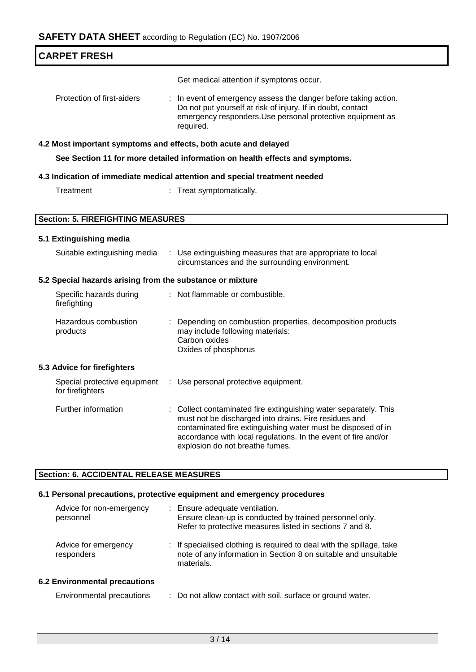| <b>CARPET FRESH</b>                                       |                                                                                                                                                                                                                                                                                                |
|-----------------------------------------------------------|------------------------------------------------------------------------------------------------------------------------------------------------------------------------------------------------------------------------------------------------------------------------------------------------|
|                                                           | Get medical attention if symptoms occur.                                                                                                                                                                                                                                                       |
| Protection of first-aiders                                | : In event of emergency assess the danger before taking action.<br>Do not put yourself at risk of injury. If in doubt, contact<br>emergency responders. Use personal protective equipment as<br>required.                                                                                      |
|                                                           | 4.2 Most important symptoms and effects, both acute and delayed                                                                                                                                                                                                                                |
|                                                           | See Section 11 for more detailed information on health effects and symptoms.                                                                                                                                                                                                                   |
|                                                           | 4.3 Indication of immediate medical attention and special treatment needed                                                                                                                                                                                                                     |
| Treatment                                                 | : Treat symptomatically.                                                                                                                                                                                                                                                                       |
|                                                           |                                                                                                                                                                                                                                                                                                |
| <b>Section: 5. FIREFIGHTING MEASURES</b>                  |                                                                                                                                                                                                                                                                                                |
| 5.1 Extinguishing media                                   |                                                                                                                                                                                                                                                                                                |
| Suitable extinguishing media                              | : Use extinguishing measures that are appropriate to local<br>circumstances and the surrounding environment.                                                                                                                                                                                   |
| 5.2 Special hazards arising from the substance or mixture |                                                                                                                                                                                                                                                                                                |
| Specific hazards during<br>firefighting                   | : Not flammable or combustible.                                                                                                                                                                                                                                                                |
| Hazardous combustion<br>products                          | Depending on combustion properties, decomposition products<br>may include following materials:<br>Carbon oxides<br>Oxides of phosphorus                                                                                                                                                        |
| 5.3 Advice for firefighters                               |                                                                                                                                                                                                                                                                                                |
| Special protective equipment<br>for firefighters          | : Use personal protective equipment.                                                                                                                                                                                                                                                           |
| Further information                                       | : Collect contaminated fire extinguishing water separately. This<br>must not be discharged into drains. Fire residues and<br>contaminated fire extinguishing water must be disposed of in<br>accordance with local regulations. In the event of fire and/or<br>explosion do not breathe fumes. |
| <b>Section: 6. ACCIDENTAL RELEASE MEASURES</b>            |                                                                                                                                                                                                                                                                                                |
|                                                           | 6.1 Personal precautions, protective equipment and emergency procedures                                                                                                                                                                                                                        |
| Advice for non-emergency<br>personnel                     | : Ensure adequate ventilation.<br>Ensure clean-up is conducted by trained personnel only.                                                                                                                                                                                                      |

Environmental precautions : Do not allow contact with soil, surface or ground water.

materials.

Advice for emergency

**6.2 Environmental precautions**

responders

Refer to protective measures listed in sections 7 and 8.

: If specialised clothing is required to deal with the spillage, take note of any information in Section 8 on suitable and unsuitable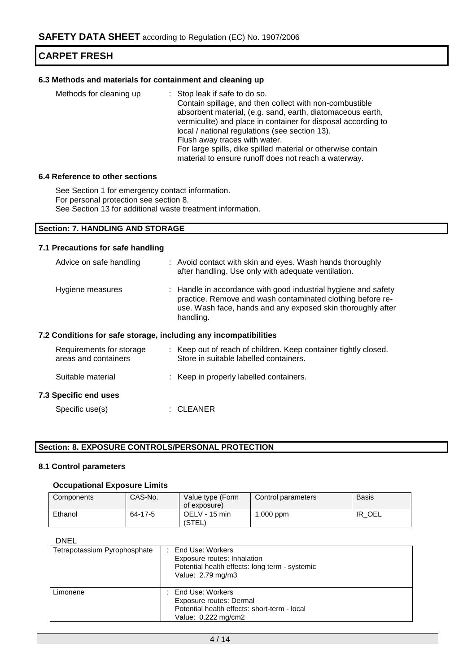### **6.3 Methods and materials for containment and cleaning up**

| Methods for cleaning up | : Stop leak if safe to do so.                                 |
|-------------------------|---------------------------------------------------------------|
|                         | Contain spillage, and then collect with non-combustible       |
|                         | absorbent material, (e.g. sand, earth, diatomaceous earth,    |
|                         | vermiculite) and place in container for disposal according to |
|                         | local / national regulations (see section 13).                |
|                         | Flush away traces with water.                                 |
|                         | For large spills, dike spilled material or otherwise contain  |
|                         | material to ensure runoff does not reach a waterway.          |

#### **6.4 Reference to other sections**

See Section 1 for emergency contact information. For personal protection see section 8. See Section 13 for additional waste treatment information.

### **Section: 7. HANDLING AND STORAGE**

### **7.1 Precautions for safe handling**

| Advice on safe handling                                          | : Avoid contact with skin and eyes. Wash hands thoroughly<br>after handling. Use only with adequate ventilation.                                                                                         |
|------------------------------------------------------------------|----------------------------------------------------------------------------------------------------------------------------------------------------------------------------------------------------------|
| Hygiene measures                                                 | : Handle in accordance with good industrial hygiene and safety<br>practice. Remove and wash contaminated clothing before re-<br>use. Wash face, hands and any exposed skin thoroughly after<br>handling. |
| 7.2 Conditions for safe storage, including any incompatibilities |                                                                                                                                                                                                          |
| Requirements for storage                                         | : Keep out of reach of children. Keep container tightly closed.                                                                                                                                          |

# areas and containers Store in suitable labelled containers. Suitable material : Keep in properly labelled containers.

### **7.3 Specific end uses**

| : CLEANER |
|-----------|
|           |

### **Section: 8. EXPOSURE CONTROLS/PERSONAL PROTECTION**

### **8.1 Control parameters**

### **Occupational Exposure Limits**

| Components | CAS-No. | Value type (Form<br>of exposure) | Control parameters | Basis      |
|------------|---------|----------------------------------|--------------------|------------|
| Ethanol    | 64-17-5 | OELV - 15 min<br>(STEL)          | $1,000$ ppm        | OEL<br>-IR |

### DNEL

| Tetrapotassium Pyrophosphate | End Use: Workers<br>Exposure routes: Inhalation<br>Potential health effects: long term - systemic<br>Value: 2.79 mg/m3 |
|------------------------------|------------------------------------------------------------------------------------------------------------------------|
| Limonene                     | End Use: Workers<br>Exposure routes: Dermal<br>Potential health effects: short-term - local<br>Value: 0.222 mg/cm2     |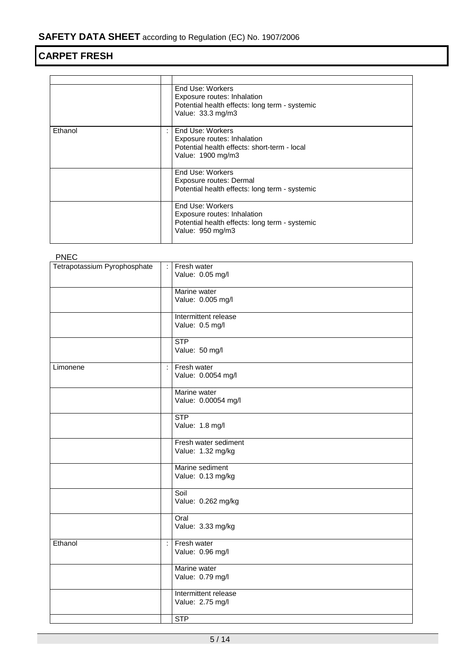|         | End Use: Workers<br>Exposure routes: Inhalation<br>Potential health effects: long term - systemic<br>Value: 33.3 mg/m3 |
|---------|------------------------------------------------------------------------------------------------------------------------|
| Ethanol | End Use: Workers<br>Exposure routes: Inhalation<br>Potential health effects: short-term - local<br>Value: 1900 mg/m3   |
|         | End Use: Workers<br>Exposure routes: Dermal<br>Potential health effects: long term - systemic                          |
|         | End Use: Workers<br>Exposure routes: Inhalation<br>Potential health effects: long term - systemic<br>Value: 950 mg/m3  |

PNEC

| Tetrapotassium Pyrophosphate | ÷  | Fresh water<br>Value: 0.05 mg/l           |
|------------------------------|----|-------------------------------------------|
|                              |    | Marine water<br>Value: 0.005 mg/l         |
|                              |    | Intermittent release<br>Value: 0.5 mg/l   |
|                              |    | <b>STP</b><br>Value: 50 mg/l              |
| Limonene                     | ÷. | Fresh water<br>Value: 0.0054 mg/l         |
|                              |    | Marine water<br>Value: 0.00054 mg/l       |
|                              |    | STP<br>Value: 1.8 mg/l                    |
|                              |    | Fresh water sediment<br>Value: 1.32 mg/kg |
|                              |    | Marine sediment<br>Value: 0.13 mg/kg      |
|                              |    | Soil<br>Value: 0.262 mg/kg                |
|                              |    | Oral<br>Value: 3.33 mg/kg                 |
| Ethanol                      | ÷  | Fresh water<br>Value: 0.96 mg/l           |
|                              |    | Marine water<br>Value: 0.79 mg/l          |
|                              |    | Intermittent release<br>Value: 2.75 mg/l  |
|                              |    | STP                                       |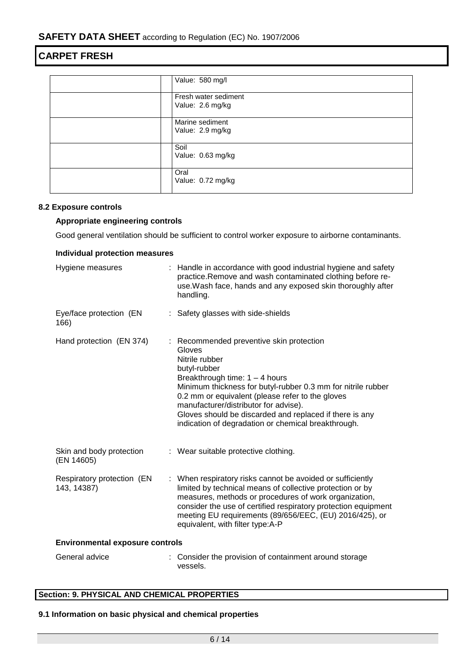|  | Value: 580 mg/l                          |  |  |  |
|--|------------------------------------------|--|--|--|
|  | Fresh water sediment<br>Value: 2.6 mg/kg |  |  |  |
|  |                                          |  |  |  |
|  | Marine sediment<br>Value: 2.9 mg/kg      |  |  |  |
|  | Soil<br>Value: 0.63 mg/kg                |  |  |  |
|  | Oral<br>Value: 0.72 mg/kg                |  |  |  |

### **8.2 Exposure controls**

### **Appropriate engineering controls**

Good general ventilation should be sufficient to control worker exposure to airborne contaminants.

| <b>Individual protection measures</b>     |  |                                                                                                                                                                                                                                                                                                                                                                                                       |  |  |
|-------------------------------------------|--|-------------------------------------------------------------------------------------------------------------------------------------------------------------------------------------------------------------------------------------------------------------------------------------------------------------------------------------------------------------------------------------------------------|--|--|
| Hygiene measures                          |  | Handle in accordance with good industrial hygiene and safety<br>practice. Remove and wash contaminated clothing before re-<br>use. Wash face, hands and any exposed skin thoroughly after<br>handling.                                                                                                                                                                                                |  |  |
| Eye/face protection (EN<br>166)           |  | : Safety glasses with side-shields                                                                                                                                                                                                                                                                                                                                                                    |  |  |
| Hand protection (EN 374)                  |  | Recommended preventive skin protection<br>Gloves<br>Nitrile rubber<br>butyl-rubber<br>Breakthrough time: $1 - 4$ hours<br>Minimum thickness for butyl-rubber 0.3 mm for nitrile rubber<br>0.2 mm or equivalent (please refer to the gloves<br>manufacturer/distributor for advise).<br>Gloves should be discarded and replaced if there is any<br>indication of degradation or chemical breakthrough. |  |  |
| Skin and body protection<br>(EN 14605)    |  | : Wear suitable protective clothing.                                                                                                                                                                                                                                                                                                                                                                  |  |  |
| Respiratory protection (EN<br>143, 14387) |  | : When respiratory risks cannot be avoided or sufficiently<br>limited by technical means of collective protection or by<br>measures, methods or procedures of work organization,<br>consider the use of certified respiratory protection equipment<br>meeting EU requirements (89/656/EEC, (EU) 2016/425), or<br>equivalent, with filter type: A-P                                                    |  |  |
| <b>Environmental exposure controls</b>    |  |                                                                                                                                                                                                                                                                                                                                                                                                       |  |  |
| General advice                            |  | : Consider the provision of containment around storage<br>vessels.                                                                                                                                                                                                                                                                                                                                    |  |  |

### **Section: 9. PHYSICAL AND CHEMICAL PROPERTIES**

### **9.1 Information on basic physical and chemical properties**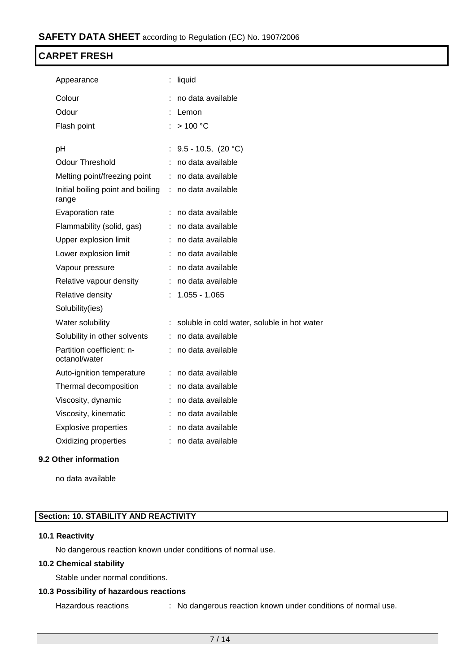| Appearance                                 | liquid                                        |
|--------------------------------------------|-----------------------------------------------|
| Colour                                     | no data available                             |
| Odour                                      | Lemon                                         |
| Flash point                                | >100 °C                                       |
| рH                                         | 9.5 - 10.5, $(20 °C)$                         |
| <b>Odour Threshold</b>                     | no data available                             |
| Melting point/freezing point               | no data available                             |
| Initial boiling point and boiling          | no data available                             |
| range                                      |                                               |
| Evaporation rate                           | no data available                             |
| Flammability (solid, gas)                  | : no data available                           |
| Upper explosion limit                      | no data available                             |
| Lower explosion limit                      | no data available                             |
| Vapour pressure                            | no data available                             |
| Relative vapour density                    | no data available                             |
| Relative density                           | $1.055 - 1.065$                               |
| Solubility(ies)                            |                                               |
| Water solubility                           | : soluble in cold water, soluble in hot water |
| Solubility in other solvents               | : no data available                           |
| Partition coefficient: n-<br>octanol/water | : no data available                           |
| Auto-ignition temperature                  | no data available                             |
| Thermal decomposition                      | : no data available                           |
| Viscosity, dynamic                         | no data available                             |
| Viscosity, kinematic                       | no data available                             |
| <b>Explosive properties</b>                | : no data available                           |
| Oxidizing properties                       | no data available                             |
|                                            |                                               |

### **9.2 Other information**

no data available

### **Section: 10. STABILITY AND REACTIVITY**

### **10.1 Reactivity**

No dangerous reaction known under conditions of normal use.

### **10.2 Chemical stability**

Stable under normal conditions.

### **10.3 Possibility of hazardous reactions**

Hazardous reactions : No dangerous reaction known under conditions of normal use.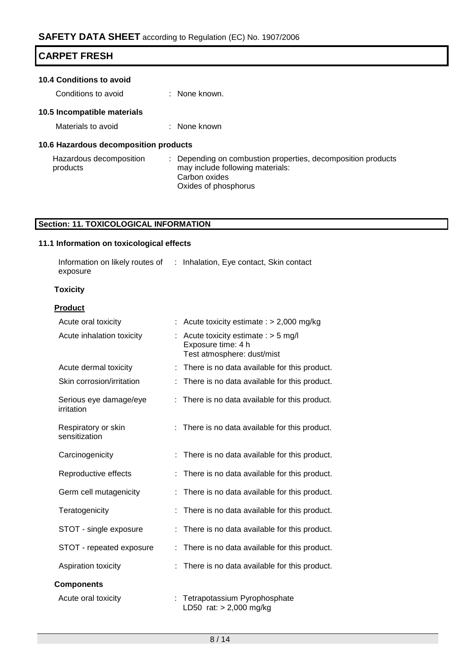| <b>CARPET FRESH</b>                   |                                                                                                |  |  |  |  |
|---------------------------------------|------------------------------------------------------------------------------------------------|--|--|--|--|
| 10.4 Conditions to avoid              |                                                                                                |  |  |  |  |
| Conditions to avoid                   | $\therefore$ None known.                                                                       |  |  |  |  |
| 10.5 Incompatible materials           |                                                                                                |  |  |  |  |
| Materials to avoid                    | : None known                                                                                   |  |  |  |  |
| 10.6 Hazardous decomposition products |                                                                                                |  |  |  |  |
| Hazardous decomposition<br>products   | Depending on combustion properties, decomposition products<br>may include following materials: |  |  |  |  |

### may include following materials: Carbon oxides Oxides of phosphorus

### **Section: 11. TOXICOLOGICAL INFORMATION**

### **11.1 Information on toxicological effects**

| Information on likely routes of | : Inhalation, Eye contact, Skin contact |
|---------------------------------|-----------------------------------------|
| exposure                        |                                         |

### **Toxicity**

### **Product**

| Acute oral toxicity                  | Acute toxicity estimate : $> 2,000$ mg/kg                                                |
|--------------------------------------|------------------------------------------------------------------------------------------|
| Acute inhalation toxicity            | Acute toxicity estimate : $>$ 5 mg/l<br>Exposure time: 4 h<br>Test atmosphere: dust/mist |
| Acute dermal toxicity                | There is no data available for this product.<br>t                                        |
| Skin corrosion/irritation            | There is no data available for this product.                                             |
| Serious eye damage/eye<br>irritation | There is no data available for this product.                                             |
| Respiratory or skin<br>sensitization | : There is no data available for this product.                                           |
| Carcinogenicity                      | There is no data available for this product.                                             |
| Reproductive effects                 | There is no data available for this product.                                             |
| Germ cell mutagenicity               | There is no data available for this product.                                             |
| Teratogenicity                       | There is no data available for this product.                                             |
| STOT - single exposure               | There is no data available for this product.                                             |
| STOT - repeated exposure             | There is no data available for this product.<br>÷                                        |
| Aspiration toxicity                  | There is no data available for this product.                                             |
| <b>Components</b>                    |                                                                                          |
| Acute oral toxicity                  | Tetrapotassium Pyrophosphate<br>÷<br>LD50 rat: > 2,000 mg/kg                             |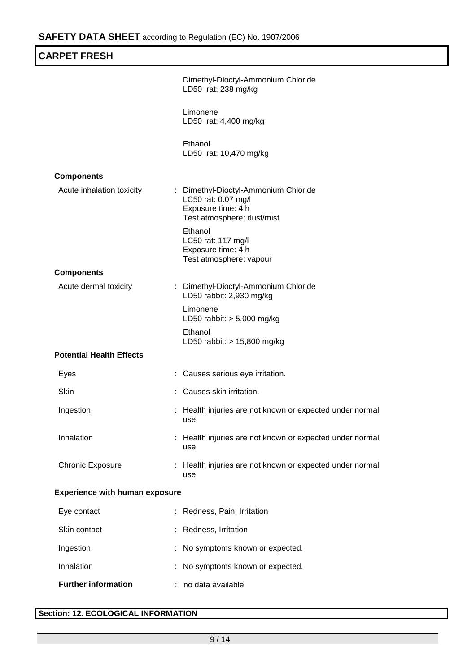| <b>CARPET FRESH</b>                   |                                                                                                                 |
|---------------------------------------|-----------------------------------------------------------------------------------------------------------------|
|                                       | Dimethyl-Dioctyl-Ammonium Chloride<br>LD50 rat: 238 mg/kg                                                       |
|                                       | Limonene<br>LD50 rat: 4,400 mg/kg                                                                               |
|                                       | Ethanol<br>LD50 rat: 10,470 mg/kg                                                                               |
| <b>Components</b>                     |                                                                                                                 |
| Acute inhalation toxicity             | : Dimethyl-Dioctyl-Ammonium Chloride<br>LC50 rat: 0.07 mg/l<br>Exposure time: 4 h<br>Test atmosphere: dust/mist |
|                                       | Ethanol<br>LC50 rat: 117 mg/l<br>Exposure time: 4 h<br>Test atmosphere: vapour                                  |
| <b>Components</b>                     |                                                                                                                 |
| Acute dermal toxicity                 | : Dimethyl-Dioctyl-Ammonium Chloride<br>LD50 rabbit: 2,930 mg/kg                                                |
|                                       | Limonene<br>LD50 rabbit: $> 5,000$ mg/kg                                                                        |
|                                       | Ethanol<br>LD50 rabbit: > 15,800 mg/kg                                                                          |
| <b>Potential Health Effects</b>       |                                                                                                                 |
| Eyes                                  | Causes serious eye irritation.                                                                                  |
| Skin                                  | Causes skin irritation.                                                                                         |
| Ingestion                             | Health injuries are not known or expected under normal<br>use.                                                  |
| Inhalation                            | Health injuries are not known or expected under normal<br>use.                                                  |
| <b>Chronic Exposure</b>               | : Health injuries are not known or expected under normal<br>use.                                                |
| <b>Experience with human exposure</b> |                                                                                                                 |
| Eye contact                           | Redness, Pain, Irritation                                                                                       |
| Skin contact                          | Redness, Irritation                                                                                             |
| Ingestion                             | No symptoms known or expected.                                                                                  |
| Inhalation                            | No symptoms known or expected.                                                                                  |
| <b>Further information</b>            | no data available                                                                                               |

### **Section: 12. ECOLOGICAL INFORMATION**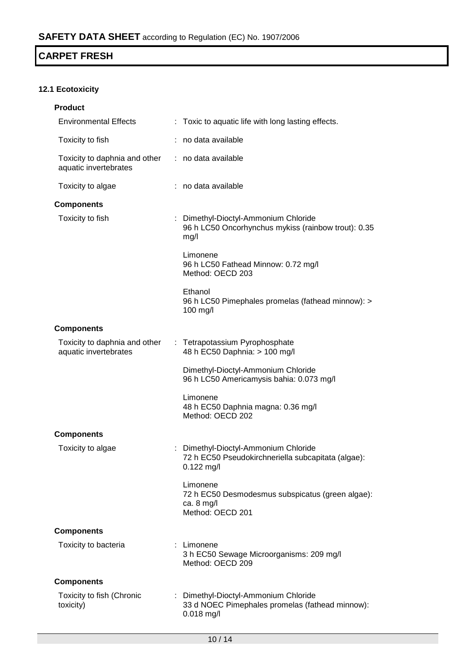### **12.1 Ecotoxicity**

| <b>Product</b>                                         |                                                                                                            |
|--------------------------------------------------------|------------------------------------------------------------------------------------------------------------|
| <b>Environmental Effects</b>                           | : Toxic to aquatic life with long lasting effects.                                                         |
| Toxicity to fish                                       | no data available                                                                                          |
| Toxicity to daphnia and other<br>aquatic invertebrates | : no data available                                                                                        |
| Toxicity to algae                                      | : no data available                                                                                        |
| <b>Components</b>                                      |                                                                                                            |
| Toxicity to fish                                       | : Dimethyl-Dioctyl-Ammonium Chloride<br>96 h LC50 Oncorhynchus mykiss (rainbow trout): 0.35<br>mg/l        |
|                                                        | Limonene<br>96 h LC50 Fathead Minnow: 0.72 mg/l<br>Method: OECD 203                                        |
|                                                        | Ethanol<br>96 h LC50 Pimephales promelas (fathead minnow): ><br>100 mg/l                                   |
| <b>Components</b>                                      |                                                                                                            |
| Toxicity to daphnia and other<br>aquatic invertebrates | : Tetrapotassium Pyrophosphate<br>48 h EC50 Daphnia: > 100 mg/l                                            |
|                                                        | Dimethyl-Dioctyl-Ammonium Chloride<br>96 h LC50 Americamysis bahia: 0.073 mg/l                             |
|                                                        | Limonene<br>48 h EC50 Daphnia magna: 0.36 mg/l<br>Method: OECD 202                                         |
| <b>Components</b>                                      |                                                                                                            |
| Toxicity to algae                                      | : Dimethyl-Dioctyl-Ammonium Chloride<br>72 h EC50 Pseudokirchneriella subcapitata (algae):<br>$0.122$ mg/l |
|                                                        | Limonene<br>72 h EC50 Desmodesmus subspicatus (green algae):<br>ca. $8 \text{ mg/l}$<br>Method: OECD 201   |
| <b>Components</b>                                      |                                                                                                            |
| Toxicity to bacteria                                   | : Limonene<br>3 h EC50 Sewage Microorganisms: 209 mg/l<br>Method: OECD 209                                 |
| <b>Components</b>                                      |                                                                                                            |
| Toxicity to fish (Chronic<br>toxicity)                 | : Dimethyl-Dioctyl-Ammonium Chloride<br>33 d NOEC Pimephales promelas (fathead minnow):<br>$0.018$ mg/l    |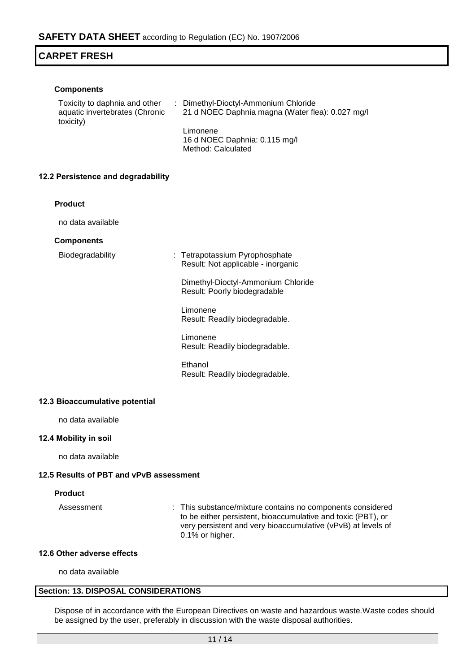### **Components**

| Toxicity to daphnia and other<br>aquatic invertebrates (Chronic<br>toxicity) | : Dimethyl-Dioctyl-Ammonium Chloride<br>21 d NOEC Daphnia magna (Water flea): 0.027 mg/l |
|------------------------------------------------------------------------------|------------------------------------------------------------------------------------------|
|                                                                              | Limonene                                                                                 |
|                                                                              | 16 d NOEC Daphnia: 0.115 mg/l                                                            |
|                                                                              | Method: Calculated                                                                       |

### **12.2 Persistence and degradability**

### **Product**

no data available

### **Components**

| Biodegradability |  |
|------------------|--|
|------------------|--|

: Tetrapotassium Pyrophosphate Result: Not applicable - inorganic

Dimethyl-Dioctyl-Ammonium Chloride Result: Poorly biodegradable

Limonene Result: Readily biodegradable.

Limonene Result: Readily biodegradable.

Ethanol Result: Readily biodegradable.

### **12.3 Bioaccumulative potential**

no data available

### **12.4 Mobility in soil**

no data available

### **12.5 Results of PBT and vPvB assessment**

### **Product**

Assessment : This substance/mixture contains no components considered to be either persistent, bioaccumulative and toxic (PBT), or very persistent and very bioaccumulative (vPvB) at levels of 0.1% or higher.

### **12.6 Other adverse effects**

no data available

### **Section: 13. DISPOSAL CONSIDERATIONS**

Dispose of in accordance with the European Directives on waste and hazardous waste.Waste codes should be assigned by the user, preferably in discussion with the waste disposal authorities.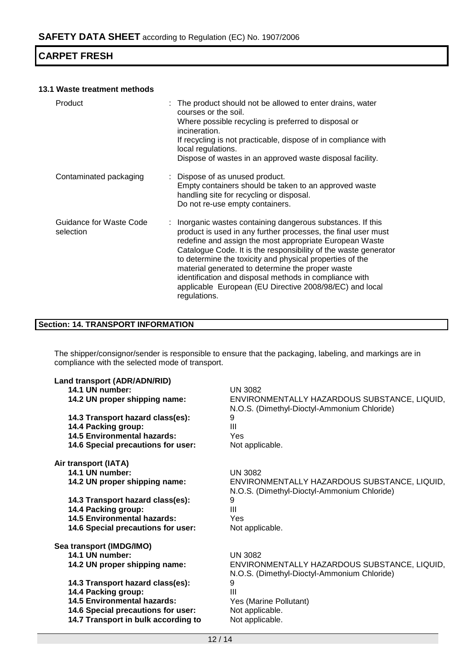### **13.1 Waste treatment methods**

| Product                              | : The product should not be allowed to enter drains, water<br>courses or the soil.<br>Where possible recycling is preferred to disposal or<br>incineration.<br>If recycling is not practicable, dispose of in compliance with<br>local regulations.<br>Dispose of wastes in an approved waste disposal facility.                                                                                                                                                                                                |
|--------------------------------------|-----------------------------------------------------------------------------------------------------------------------------------------------------------------------------------------------------------------------------------------------------------------------------------------------------------------------------------------------------------------------------------------------------------------------------------------------------------------------------------------------------------------|
| Contaminated packaging               | : Dispose of as unused product.<br>Empty containers should be taken to an approved waste<br>handling site for recycling or disposal.<br>Do not re-use empty containers.                                                                                                                                                                                                                                                                                                                                         |
| Guidance for Waste Code<br>selection | : Inorganic wastes containing dangerous substances. If this<br>product is used in any further processes, the final user must<br>redefine and assign the most appropriate European Waste<br>Catalogue Code. It is the responsibility of the waste generator<br>to determine the toxicity and physical properties of the<br>material generated to determine the proper waste<br>identification and disposal methods in compliance with<br>applicable European (EU Directive 2008/98/EC) and local<br>regulations. |

### **Section: 14. TRANSPORT INFORMATION**

The shipper/consignor/sender is responsible to ensure that the packaging, labeling, and markings are in compliance with the selected mode of transport.

| Land transport (ADR/ADN/RID)        |                                                                                             |
|-------------------------------------|---------------------------------------------------------------------------------------------|
| 14.1 UN number:                     | <b>UN 3082</b>                                                                              |
| 14.2 UN proper shipping name:       | ENVIRONMENTALLY HAZARDOUS SUBSTANCE, LIQUID,<br>N.O.S. (Dimethyl-Dioctyl-Ammonium Chloride) |
| 14.3 Transport hazard class(es):    | 9                                                                                           |
| 14.4 Packing group:                 | $\mathbf{III}$                                                                              |
| <b>14.5 Environmental hazards:</b>  | Yes                                                                                         |
| 14.6 Special precautions for user:  | Not applicable.                                                                             |
| Air transport (IATA)                |                                                                                             |
| 14.1 UN number:                     | UN 3082                                                                                     |
| 14.2 UN proper shipping name:       | ENVIRONMENTALLY HAZARDOUS SUBSTANCE, LIQUID,<br>N.O.S. (Dimethyl-Dioctyl-Ammonium Chloride) |
| 14.3 Transport hazard class(es):    | 9                                                                                           |
| 14.4 Packing group:                 | Ш                                                                                           |
| <b>14.5 Environmental hazards:</b>  | Yes                                                                                         |
| 14.6 Special precautions for user:  | Not applicable.                                                                             |
| Sea transport (IMDG/IMO)            |                                                                                             |
| 14.1 UN number:                     | <b>UN 3082</b>                                                                              |
| 14.2 UN proper shipping name:       | ENVIRONMENTALLY HAZARDOUS SUBSTANCE, LIQUID,<br>N.O.S. (Dimethyl-Dioctyl-Ammonium Chloride) |
| 14.3 Transport hazard class(es):    | 9                                                                                           |
| 14.4 Packing group:                 | Ш                                                                                           |
| 14.5 Environmental hazards:         | Yes (Marine Pollutant)                                                                      |
| 14.6 Special precautions for user:  | Not applicable.                                                                             |
| 14.7 Transport in bulk according to | Not applicable.                                                                             |
|                                     |                                                                                             |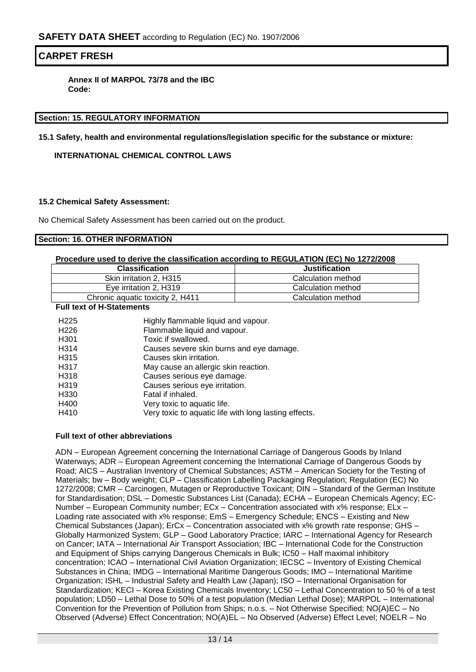**Annex II of MARPOL 73/78 and the IBC Code:**

### **Section: 15. REGULATORY INFORMATION**

**15.1 Safety, health and environmental regulations/legislation specific for the substance or mixture:**

### **INTERNATIONAL CHEMICAL CONTROL LAWS**

### **15.2 Chemical Safety Assessment:**

No Chemical Safety Assessment has been carried out on the product.

### **Section: 16. OTHER INFORMATION**

### **Procedure used to derive the classification according to REGULATION (EC) No 1272/2008**

| <b>Classification</b>            | <b>Justification</b> |  |
|----------------------------------|----------------------|--|
| Skin irritation 2. H315          | Calculation method   |  |
| Eve irritation 2. H319           | Calculation method   |  |
| Chronic aquatic toxicity 2, H411 | Calculation method   |  |

**Full text of H-Statements**

| H <sub>225</sub>  | Highly flammable liquid and vapour.                   |
|-------------------|-------------------------------------------------------|
| H <sub>226</sub>  | Flammable liquid and vapour.                          |
| H <sub>301</sub>  | Toxic if swallowed.                                   |
| H <sub>3</sub> 14 | Causes severe skin burns and eye damage.              |
| H <sub>3</sub> 15 | Causes skin irritation.                               |
| H <sub>3</sub> 17 | May cause an allergic skin reaction.                  |
| H <sub>3</sub> 18 | Causes serious eye damage.                            |
| H <sub>3</sub> 19 | Causes serious eye irritation.                        |
| H330              | Fatal if inhaled.                                     |
| H400              | Very toxic to aquatic life.                           |
| H410              | Very toxic to aquatic life with long lasting effects. |

### **Full text of other abbreviations**

ADN – European Agreement concerning the International Carriage of Dangerous Goods by Inland Waterways; ADR – European Agreement concerning the International Carriage of Dangerous Goods by Road; AICS – Australian Inventory of Chemical Substances; ASTM – American Society for the Testing of Materials; bw - Body weight; CLP - Classification Labelling Packaging Regulation; Regulation (EC) No 1272/2008; CMR – Carcinogen, Mutagen or Reproductive Toxicant; DIN – Standard of the German Institute for Standardisation; DSL – Domestic Substances List (Canada); ECHA – European Chemicals Agency; EC-Number – European Community number; ECx – Concentration associated with x% response; ELx – Loading rate associated with x% response; EmS – Emergency Schedule; ENCS – Existing and New Chemical Substances (Japan); ErCx – Concentration associated with x% growth rate response; GHS – Globally Harmonized System; GLP – Good Laboratory Practice; IARC – International Agency for Research on Cancer; IATA – International Air Transport Association; IBC – International Code for the Construction and Equipment of Ships carrying Dangerous Chemicals in Bulk; IC50 – Half maximal inhibitory concentration; ICAO – International Civil Aviation Organization; IECSC – Inventory of Existing Chemical Substances in China; IMDG – International Maritime Dangerous Goods; IMO – International Maritime Organization; ISHL – Industrial Safety and Health Law (Japan); ISO – International Organisation for Standardization; KECI – Korea Existing Chemicals Inventory; LC50 – Lethal Concentration to 50 % of a test population; LD50 – Lethal Dose to 50% of a test population (Median Lethal Dose); MARPOL – International Convention for the Prevention of Pollution from Ships; n.o.s. – Not Otherwise Specified; NO(A)EC – No Observed (Adverse) Effect Concentration; NO(A)EL – No Observed (Adverse) Effect Level; NOELR – No